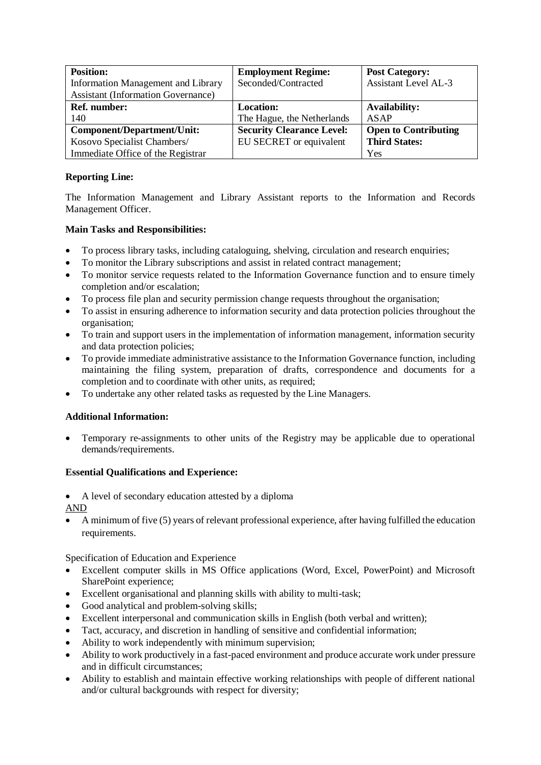| <b>Position:</b>                          | <b>Employment Regime:</b>        | <b>Post Category:</b>       |
|-------------------------------------------|----------------------------------|-----------------------------|
| Information Management and Library        | Seconded/Contracted              | <b>Assistant Level AL-3</b> |
| <b>Assistant (Information Governance)</b> |                                  |                             |
| <b>Ref.</b> number:                       | <b>Location:</b>                 | <b>Availability:</b>        |
| 140                                       | The Hague, the Netherlands       | ASAP                        |
| Component/Department/Unit:                | <b>Security Clearance Level:</b> | <b>Open to Contributing</b> |
| Kosovo Specialist Chambers/               | EU SECRET or equivalent          | <b>Third States:</b>        |
| Immediate Office of the Registrar         |                                  | Yes                         |

# **Reporting Line:**

The Information Management and Library Assistant reports to the Information and Records Management Officer.

# **Main Tasks and Responsibilities:**

- To process library tasks, including cataloguing, shelving, circulation and research enquiries;
- To monitor the Library subscriptions and assist in related contract management;
- To monitor service requests related to the Information Governance function and to ensure timely completion and/or escalation;
- To process file plan and security permission change requests throughout the organisation;
- To assist in ensuring adherence to information security and data protection policies throughout the organisation;
- To train and support users in the implementation of information management, information security and data protection policies;
- To provide immediate administrative assistance to the Information Governance function, including maintaining the filing system, preparation of drafts, correspondence and documents for a completion and to coordinate with other units, as required;
- To undertake any other related tasks as requested by the Line Managers.

# **Additional Information:**

• Temporary re-assignments to other units of the Registry may be applicable due to operational demands/requirements.

# **Essential Qualifications and Experience:**

• A level of secondary education attested by a diploma

AND

• A minimum of five (5) years of relevant professional experience, after having fulfilled the education requirements.

Specification of Education and Experience

- Excellent computer skills in MS Office applications (Word, Excel, PowerPoint) and Microsoft SharePoint experience;
- Excellent organisational and planning skills with ability to multi-task;
- Good analytical and problem-solving skills;
- Excellent interpersonal and communication skills in English (both verbal and written);
- Tact, accuracy, and discretion in handling of sensitive and confidential information;
- Ability to work independently with minimum supervision;
- Ability to work productively in a fast-paced environment and produce accurate work under pressure and in difficult circumstances;
- Ability to establish and maintain effective working relationships with people of different national and/or cultural backgrounds with respect for diversity;